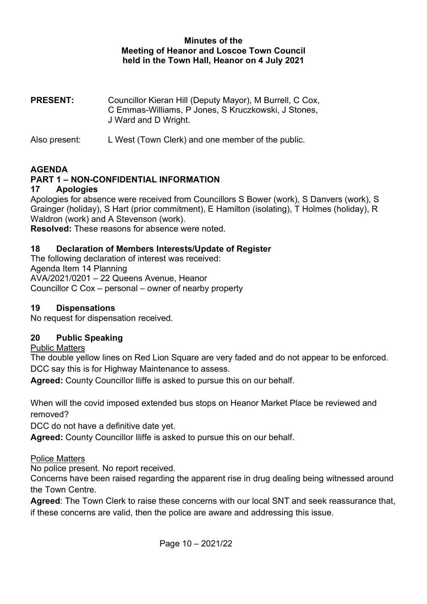#### Minutes of the Meeting of Heanor and Loscoe Town Council held in the Town Hall, Heanor on 4 July 2021

PRESENT: Councillor Kieran Hill (Deputy Mayor), M Burrell, C Cox, C Emmas-Williams, P Jones, S Kruczkowski, J Stones, J Ward and D Wright.

Also present: L West (Town Clerk) and one member of the public.

#### AGENDA

## PART 1 – NON-CONFIDENTIAL INFORMATION

#### 17 Apologies

Apologies for absence were received from Councillors S Bower (work), S Danvers (work), S Grainger (holiday), S Hart (prior commitment), E Hamilton (isolating), T Holmes (holiday), R Waldron (work) and A Stevenson (work).

Resolved: These reasons for absence were noted.

#### 18 Declaration of Members Interests/Update of Register

The following declaration of interest was received: Agenda Item 14 Planning AVA/2021/0201 – 22 Queens Avenue, Heanor Councillor C Cox – personal – owner of nearby property

#### 19 Dispensations

No request for dispensation received.

#### 20 Public Speaking

#### Public Matters

The double yellow lines on Red Lion Square are very faded and do not appear to be enforced. DCC say this is for Highway Maintenance to assess.

Agreed: County Councillor Iliffe is asked to pursue this on our behalf.

When will the covid imposed extended bus stops on Heanor Market Place be reviewed and removed?

DCC do not have a definitive date yet.

Agreed: County Councillor Iliffe is asked to pursue this on our behalf.

#### Police Matters

No police present. No report received.

Concerns have been raised regarding the apparent rise in drug dealing being witnessed around the Town Centre.

Agreed: The Town Clerk to raise these concerns with our local SNT and seek reassurance that, if these concerns are valid, then the police are aware and addressing this issue.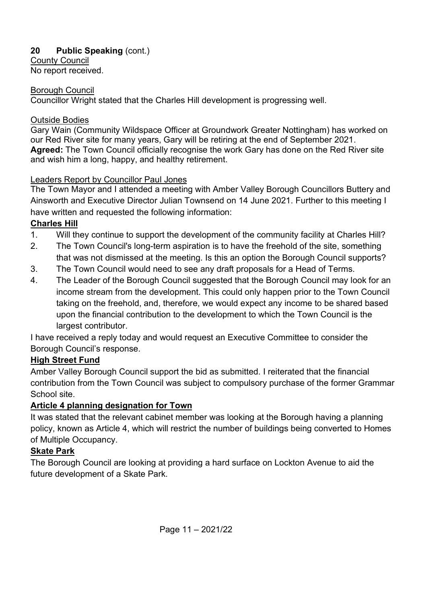# 20 Public Speaking (cont.)

County Council No report received.

## Borough Council

Councillor Wright stated that the Charles Hill development is progressing well.

## Outside Bodies

Gary Wain (Community Wildspace Officer at Groundwork Greater Nottingham) has worked on our Red River site for many years, Gary will be retiring at the end of September 2021. Agreed: The Town Council officially recognise the work Gary has done on the Red River site and wish him a long, happy, and healthy retirement.

## Leaders Report by Councillor Paul Jones

The Town Mayor and I attended a meeting with Amber Valley Borough Councillors Buttery and Ainsworth and Executive Director Julian Townsend on 14 June 2021. Further to this meeting I have written and requested the following information:

# Charles Hill

- 1. Will they continue to support the development of the community facility at Charles Hill?
- 2. The Town Council's long-term aspiration is to have the freehold of the site, something that was not dismissed at the meeting. Is this an option the Borough Council supports?
- 3. The Town Council would need to see any draft proposals for a Head of Terms.
- 4. The Leader of the Borough Council suggested that the Borough Council may look for an income stream from the development. This could only happen prior to the Town Council taking on the freehold, and, therefore, we would expect any income to be shared based upon the financial contribution to the development to which the Town Council is the largest contributor.

I have received a reply today and would request an Executive Committee to consider the Borough Council's response.

# High Street Fund

Amber Valley Borough Council support the bid as submitted. I reiterated that the financial contribution from the Town Council was subject to compulsory purchase of the former Grammar School site.

# Article 4 planning designation for Town

It was stated that the relevant cabinet member was looking at the Borough having a planning policy, known as Article 4, which will restrict the number of buildings being converted to Homes of Multiple Occupancy.

# Skate Park

The Borough Council are looking at providing a hard surface on Lockton Avenue to aid the future development of a Skate Park.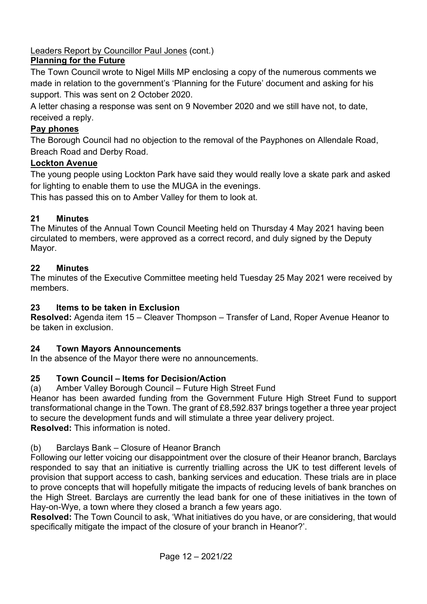Leaders Report by Councillor Paul Jones (cont.)

# Planning for the Future

The Town Council wrote to Nigel Mills MP enclosing a copy of the numerous comments we made in relation to the government's 'Planning for the Future' document and asking for his support. This was sent on 2 October 2020.

A letter chasing a response was sent on 9 November 2020 and we still have not, to date, received a reply.

## Pay phones

The Borough Council had no objection to the removal of the Payphones on Allendale Road, Breach Road and Derby Road.

## Lockton Avenue

The young people using Lockton Park have said they would really love a skate park and asked for lighting to enable them to use the MUGA in the evenings.

This has passed this on to Amber Valley for them to look at.

# 21 Minutes

The Minutes of the Annual Town Council Meeting held on Thursday 4 May 2021 having been circulated to members, were approved as a correct record, and duly signed by the Deputy Mayor.

# 22 Minutes

The minutes of the Executive Committee meeting held Tuesday 25 May 2021 were received by members.

## 23 Items to be taken in Exclusion

Resolved: Agenda item 15 – Cleaver Thompson – Transfer of Land, Roper Avenue Heanor to be taken in exclusion.

## 24 Town Mayors Announcements

In the absence of the Mayor there were no announcements.

## 25 Town Council – Items for Decision/Action

(a) Amber Valley Borough Council – Future High Street Fund

Heanor has been awarded funding from the Government Future High Street Fund to support transformational change in the Town. The grant of £8,592.837 brings together a three year project to secure the development funds and will stimulate a three year delivery project. Resolved: This information is noted.

## (b) Barclays Bank – Closure of Heanor Branch

Following our letter voicing our disappointment over the closure of their Heanor branch, Barclays responded to say that an initiative is currently trialling across the UK to test different levels of provision that support access to cash, banking services and education. These trials are in place to prove concepts that will hopefully mitigate the impacts of reducing levels of bank branches on the High Street. Barclays are currently the lead bank for one of these initiatives in the town of Hay-on-Wye, a town where they closed a branch a few years ago.

Resolved: The Town Council to ask, 'What initiatives do you have, or are considering, that would specifically mitigate the impact of the closure of your branch in Heanor?'.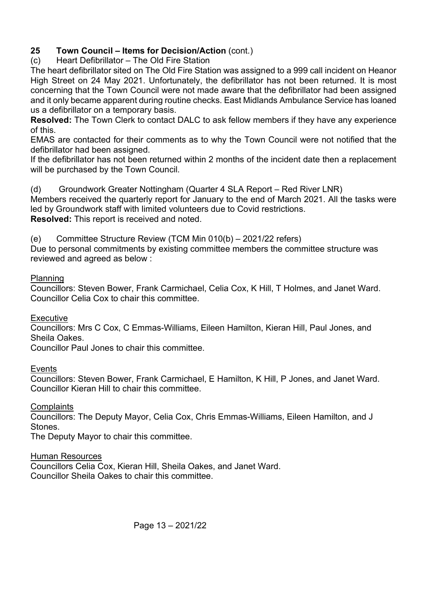## 25 Town Council – Items for Decision/Action (cont.)

(c) Heart Defibrillator – The Old Fire Station

The heart defibrillator sited on The Old Fire Station was assigned to a 999 call incident on Heanor High Street on 24 May 2021. Unfortunately, the defibrillator has not been returned. It is most concerning that the Town Council were not made aware that the defibrillator had been assigned and it only became apparent during routine checks. East Midlands Ambulance Service has loaned us a defibrillator on a temporary basis.

Resolved: The Town Clerk to contact DALC to ask fellow members if they have any experience of this.

EMAS are contacted for their comments as to why the Town Council were not notified that the defibrillator had been assigned.

If the defibrillator has not been returned within 2 months of the incident date then a replacement will be purchased by the Town Council.

(d) Groundwork Greater Nottingham (Quarter 4 SLA Report – Red River LNR) Members received the quarterly report for January to the end of March 2021. All the tasks were led by Groundwork staff with limited volunteers due to Covid restrictions. Resolved: This report is received and noted.

(e) Committee Structure Review (TCM Min 010(b) – 2021/22 refers)

Due to personal commitments by existing committee members the committee structure was reviewed and agreed as below :

#### Planning

Councillors: Steven Bower, Frank Carmichael, Celia Cox, K Hill, T Holmes, and Janet Ward. Councillor Celia Cox to chair this committee.

#### **Executive**

Councillors: Mrs C Cox, C Emmas-Williams, Eileen Hamilton, Kieran Hill, Paul Jones, and Sheila Oakes.

Councillor Paul Jones to chair this committee.

#### Events

Councillors: Steven Bower, Frank Carmichael, E Hamilton, K Hill, P Jones, and Janet Ward. Councillor Kieran Hill to chair this committee.

## **Complaints**

Councillors: The Deputy Mayor, Celia Cox, Chris Emmas-Williams, Eileen Hamilton, and J Stones.

The Deputy Mayor to chair this committee.

## Human Resources

Councillors Celia Cox, Kieran Hill, Sheila Oakes, and Janet Ward. Councillor Sheila Oakes to chair this committee.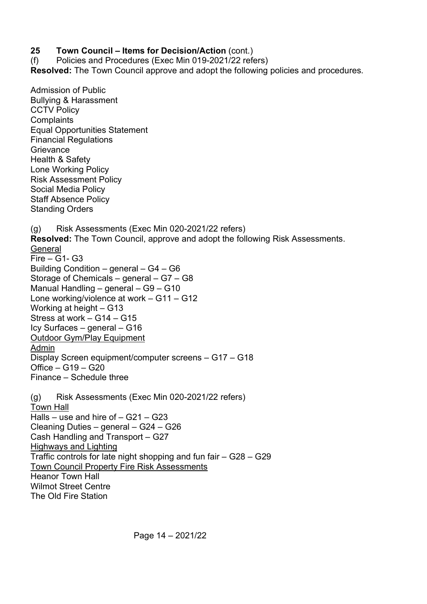#### 25 Town Council – Items for Decision/Action (cont.)

(f) Policies and Procedures (Exec Min 019-2021/22 refers) Resolved: The Town Council approve and adopt the following policies and procedures.

Admission of Public Bullying & Harassment **CCTV Policy Complaints** Equal Opportunities Statement Financial Regulations **Grievance** Health & Safety Lone Working Policy Risk Assessment Policy Social Media Policy Staff Absence Policy Standing Orders (g) Risk Assessments (Exec Min 020-2021/22 refers) Resolved: The Town Council, approve and adopt the following Risk Assessments. **General** Fire – G1- G3 Building Condition – general – G4 – G6 Storage of Chemicals – general – G7 – G8 Manual Handling – general – G9 – G10 Lone working/violence at work – G11 – G12 Working at height – G13 Stress at work – G14 – G15 Icy Surfaces – general – G16 Outdoor Gym/Play Equipment Admin Display Screen equipment/computer screens – G17 – G18 Office – G19 – G20 Finance – Schedule three (g) Risk Assessments (Exec Min 020-2021/22 refers) Town Hall Halls – use and hire of – G21 – G23 Cleaning Duties – general – G24 – G26 Cash Handling and Transport – G27 Highways and Lighting Traffic controls for late night shopping and fun fair – G28 – G29 Town Council Property Fire Risk Assessments Heanor Town Hall Wilmot Street Centre The Old Fire Station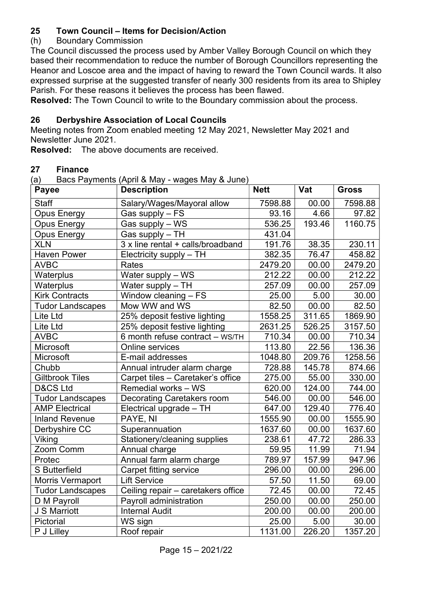## 25 Town Council – Items for Decision/Action

#### (h) Boundary Commission

The Council discussed the process used by Amber Valley Borough Council on which they based their recommendation to reduce the number of Borough Councillors representing the Heanor and Loscoe area and the impact of having to reward the Town Council wards. It also expressed surprise at the suggested transfer of nearly 300 residents from its area to Shipley Parish. For these reasons it believes the process has been flawed.

Resolved: The Town Council to write to the Boundary commission about the process.

#### 26 Derbyshire Association of Local Councils

Meeting notes from Zoom enabled meeting 12 May 2021, Newsletter May 2021 and Newsletter June 2021.

Resolved: The above documents are received.

# 27 Finance

Bacs Payments (April & May - wages May & June)

| ч,<br><b>Payee</b>      | $\mu$ based a grifform $\mu$ in $\alpha$ may maged may $\alpha$ bare<br><b>Description</b> | <b>Nett</b> | Vat    | <b>Gross</b> |
|-------------------------|--------------------------------------------------------------------------------------------|-------------|--------|--------------|
| <b>Staff</b>            | Salary/Wages/Mayoral allow                                                                 | 7598.88     | 00.00  | 7598.88      |
| <b>Opus Energy</b>      | Gas supply - FS                                                                            | 93.16       | 4.66   | 97.82        |
| <b>Opus Energy</b>      | Gas supply - WS                                                                            | 536.25      | 193.46 | 1160.75      |
| <b>Opus Energy</b>      | Gas supply - TH                                                                            | 431.04      |        |              |
| <b>XLN</b>              | 3 x line rental + calls/broadband                                                          | 191.76      | 38.35  | 230.11       |
| <b>Haven Power</b>      | Electricity supply - TH                                                                    | 382.35      | 76.47  | 458.82       |
| <b>AVBC</b>             | Rates                                                                                      | 2479.20     | 00.00  | 2479.20      |
| Waterplus               | Water supply - WS                                                                          | 212.22      | 00.00  | 212.22       |
| Waterplus               | Water supply - TH                                                                          | 257.09      | 00.00  | 257.09       |
| <b>Kirk Contracts</b>   | Window cleaning - FS                                                                       | 25.00       | 5.00   | 30.00        |
| <b>Tudor Landscapes</b> | Mow WW and WS                                                                              | 82.50       | 00.00  | 82.50        |
| Lite Ltd                | 25% deposit festive lighting                                                               | 1558.25     | 311.65 | 1869.90      |
| Lite Ltd                | 25% deposit festive lighting                                                               | 2631.25     | 526.25 | 3157.50      |
| <b>AVBC</b>             | 6 month refuse contract - WS/TH                                                            | 710.34      | 00.00  | 710.34       |
| Microsoft               | Online services                                                                            | 113.80      | 22.56  | 136.36       |
| Microsoft               | E-mail addresses                                                                           | 1048.80     | 209.76 | 1258.56      |
| Chubb                   | Annual intruder alarm charge                                                               | 728.88      | 145.78 | 874.66       |
| <b>Giltbrook Tiles</b>  | Carpet tiles - Caretaker's office                                                          | 275.00      | 55.00  | 330.00       |
| <b>D&amp;CS Ltd</b>     | Remedial works - WS                                                                        | 620.00      | 124.00 | 744.00       |
| <b>Tudor Landscapes</b> | <b>Decorating Caretakers room</b>                                                          | 546.00      | 00.00  | 546.00       |
| <b>AMP Electrical</b>   | Electrical upgrade - TH                                                                    | 647.00      | 129.40 | 776.40       |
| <b>Inland Revenue</b>   | PAYE, NI                                                                                   | 1555.90     | 00.00  | 1555.90      |
| Derbyshire CC           | Superannuation                                                                             | 1637.60     | 00.00  | 1637.60      |
| Viking                  | Stationery/cleaning supplies                                                               | 238.61      | 47.72  | 286.33       |
| Zoom Comm               | Annual charge                                                                              | 59.95       | 11.99  | 71.94        |
| Protec                  | Annual farm alarm charge                                                                   | 789.97      | 157.99 | 947.96       |
| <b>S</b> Butterfield    | Carpet fitting service                                                                     | 296.00      | 00.00  | 296.00       |
| Morris Vermaport        | <b>Lift Service</b>                                                                        | 57.50       | 11.50  | 69.00        |
| <b>Tudor Landscapes</b> | Ceiling repair - caretakers office                                                         | 72.45       | 00.00  | 72.45        |
| D M Payroll             | Payroll administration                                                                     | 250.00      | 00.00  | 250.00       |
| J S Marriott            | <b>Internal Audit</b>                                                                      | 200.00      | 00.00  | 200.00       |
| Pictorial               | WS sign                                                                                    | 25.00       | 5.00   | 30.00        |
| P J Lilley              | Roof repair                                                                                | 1131.00     | 226.20 | 1357.20      |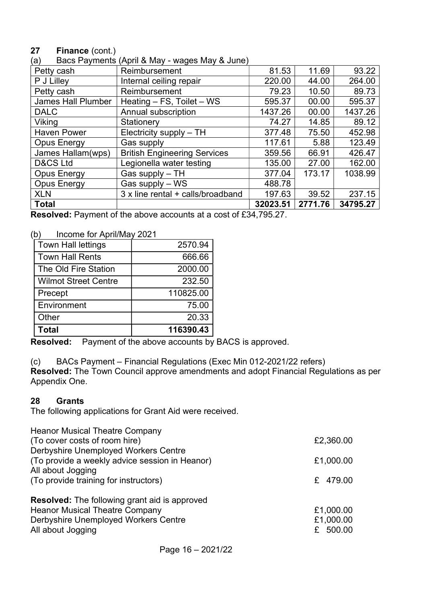## 27 Finance (cont.)

| (a) | Bacs Payments (April & May - wages May & June) |  |
|-----|------------------------------------------------|--|

| Petty cash                | $\mu$ is in a line $\mu$ in a good line $\mu$ as balled<br>Reimbursement | 81.53    | 11.69   | 93.22    |
|---------------------------|--------------------------------------------------------------------------|----------|---------|----------|
| P J Lilley                | Internal ceiling repair                                                  | 220.00   | 44.00   | 264.00   |
| Petty cash                | Reimbursement                                                            | 79.23    | 10.50   | 89.73    |
| <b>James Hall Plumber</b> | Heating $-$ FS, Toilet $-$ WS                                            | 595.37   | 00.00   | 595.37   |
| <b>DALC</b>               | Annual subscription                                                      | 1437.26  | 00.00   | 1437.26  |
| Viking                    | Stationery                                                               | 74.27    | 14.85   | 89.12    |
| <b>Haven Power</b>        | Electricity supply - TH                                                  | 377.48   | 75.50   | 452.98   |
| <b>Opus Energy</b>        | Gas supply                                                               | 117.61   | 5.88    | 123.49   |
| James Hallam(wps)         | <b>British Engineering Services</b>                                      | 359.56   | 66.91   | 426.47   |
| D&CS Ltd                  | Legionella water testing                                                 | 135.00   | 27.00   | 162.00   |
| <b>Opus Energy</b>        | Gas supply - TH                                                          | 377.04   | 173.17  | 1038.99  |
| <b>Opus Energy</b>        | Gas supply - WS                                                          | 488.78   |         |          |
| <b>XLN</b>                | 3 x line rental + calls/broadband                                        | 197.63   | 39.52   | 237.15   |
| <b>Total</b>              |                                                                          | 32023.51 | 2771.76 | 34795.27 |

Resolved: Payment of the above accounts at a cost of £34,795.27.

(b) Income for April/May 2021

| <b>Town Hall lettings</b>   | 2570.94   |
|-----------------------------|-----------|
| <b>Town Hall Rents</b>      | 666.66    |
| The Old Fire Station        | 2000.00   |
| <b>Wilmot Street Centre</b> | 232.50    |
| Precept                     | 110825.00 |
| Environment                 | 75.00     |
| Other                       | 20.33     |
| <b>Total</b>                | 116390.43 |

Resolved: Payment of the above accounts by BACS is approved.

(c) BACs Payment – Financial Regulations (Exec Min 012-2021/22 refers)

Resolved: The Town Council approve amendments and adopt Financial Regulations as per Appendix One.

#### 28 Grants

The following applications for Grant Aid were received.

| <b>Heanor Musical Theatre Company</b><br>(To cover costs of room hire)<br>Derbyshire Unemployed Workers Centre<br>(To provide a weekly advice session in Heanor)<br>All about Jogging<br>(To provide training for instructors) | £2,360.00<br>£1,000.00<br>£ 479.00   |
|--------------------------------------------------------------------------------------------------------------------------------------------------------------------------------------------------------------------------------|--------------------------------------|
| <b>Resolved:</b> The following grant aid is approved<br><b>Heanor Musical Theatre Company</b><br>Derbyshire Unemployed Workers Centre<br>All about Jogging                                                                     | £1,000.00<br>£1,000.00<br>£ $500.00$ |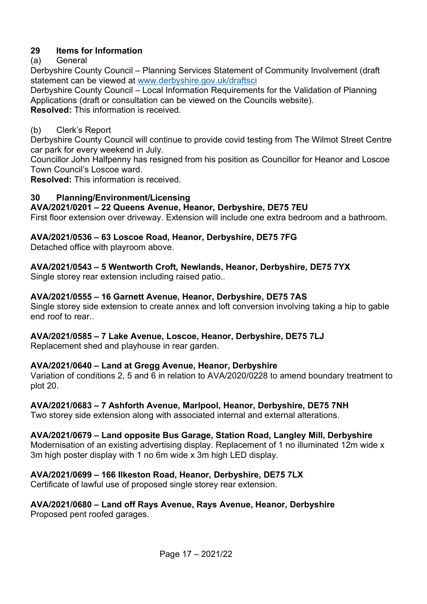# 29 Items for Information

# (a) General

Derbyshire County Council – Planning Services Statement of Community Involvement (draft statement can be viewed at www.derbyshire.gov.uk/draftsci

Derbyshire County Council – Local Information Requirements for the Validation of Planning Applications (draft or consultation can be viewed on the Councils website). Resolved: This information is received.

#### (b) Clerk's Report

Derbyshire County Council will continue to provide covid testing from The Wilmot Street Centre car park for every weekend in July.

Councillor John Halfpenny has resigned from his position as Councillor for Heanor and Loscoe Town Council's Loscoe ward.

Resolved: This information is received.

#### 30 Planning/Environment/Licensing

#### AVA/2021/0201 – 22 Queens Avenue, Heanor, Derbyshire, DE75 7EU

First floor extension over driveway. Extension will include one extra bedroom and a bathroom.

#### AVA/2021/0536 – 63 Loscoe Road, Heanor, Derbyshire, DE75 7FG

Detached office with playroom above.

## AVA/2021/0543 – 5 Wentworth Croft, Newlands, Heanor, Derbyshire, DE75 7YX

Single storey rear extension including raised patio..

#### AVA/2021/0555 – 16 Garnett Avenue, Heanor, Derbyshire, DE75 7AS

Single storey side extension to create annex and loft conversion involving taking a hip to gable end roof to rear..

#### AVA/2021/0585 – 7 Lake Avenue, Loscoe, Heanor, Derbyshire, DE75 7LJ

Replacement shed and playhouse in rear garden.

## AVA/2021/0640 – Land at Gregg Avenue, Heanor, Derbyshire

Variation of conditions 2, 5 and 6 in relation to AVA/2020/0228 to amend boundary treatment to plot 20.

## AVA/2021/0683 – 7 Ashforth Avenue, Marlpool, Heanor, Derbyshire, DE75 7NH

Two storey side extension along with associated internal and external alterations.

#### AVA/2021/0679 – Land opposite Bus Garage, Station Road, Langley Mill, Derbyshire

Modernisation of an existing advertising display. Replacement of 1 no illuminated 12m wide x 3m high poster display with 1 no 6m wide x 3m high LED display.

#### AVA/2021/0699 – 166 Ilkeston Road, Heanor, Derbyshire, DE75 7LX

Certificate of lawful use of proposed single storey rear extension.

## AVA/2021/0680 – Land off Rays Avenue, Rays Avenue, Heanor, Derbyshire

Proposed pent roofed garages.